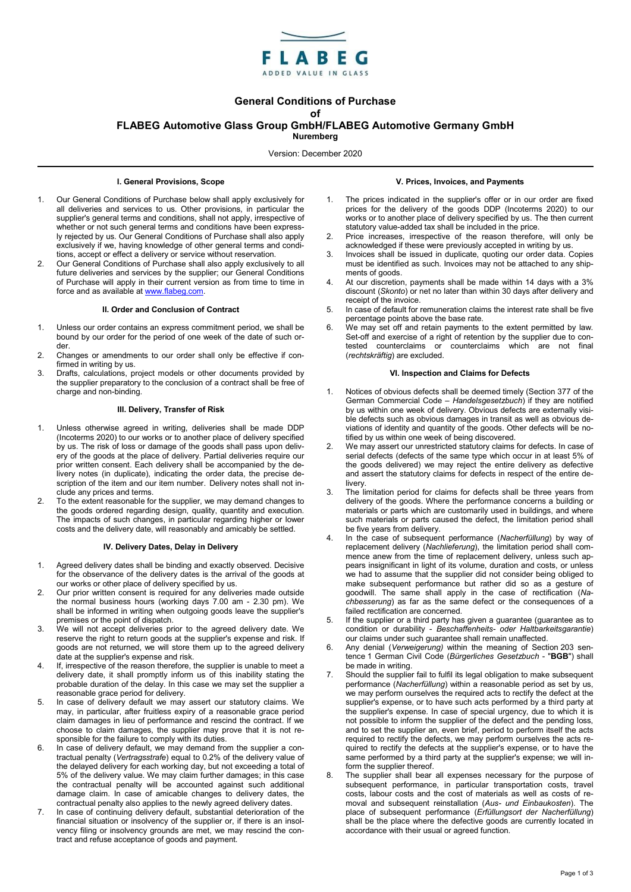

# General Conditions of Purchase

of

# FLABEG Automotive Glass Group GmbH/FLABEG Automotive Germany GmbH

Nuremberg

Version: December 2020

# I. General Provisions, Scope

- 1. Our General Conditions of Purchase below shall apply exclusively for all deliveries and services to us. Other provisions, in particular the supplier's general terms and conditions, shall not apply, irrespective of whether or not such general terms and conditions have been expressly rejected by us. Our General Conditions of Purchase shall also apply exclusively if we, having knowledge of other general terms and conditions, accept or effect a delivery or service without reservation.
- 2. Our General Conditions of Purchase shall also apply exclusively to all future deliveries and services by the supplier; our General Conditions of Purchase will apply in their current version as from time to time in force and as available at www.flabeg.com.

### II. Order and Conclusion of Contract

- 1. Unless our order contains an express commitment period, we shall be bound by our order for the period of one week of the date of such order.
- 2. Changes or amendments to our order shall only be effective if confirmed in writing by us.
- 3. Drafts, calculations, project models or other documents provided by the supplier preparatory to the conclusion of a contract shall be free of charge and non-binding.

## III. Delivery, Transfer of Risk

- 1. Unless otherwise agreed in writing, deliveries shall be made DDP (Incoterms 2020) to our works or to another place of delivery specified by us. The risk of loss or damage of the goods shall pass upon delivery of the goods at the place of delivery. Partial deliveries require our prior written consent. Each delivery shall be accompanied by the delivery notes (in duplicate), indicating the order data, the precise description of the item and our item number. Delivery notes shall not include any prices and terms.
- 2. To the extent reasonable for the supplier, we may demand changes to the goods ordered regarding design, quality, quantity and execution. The impacts of such changes, in particular regarding higher or lower costs and the delivery date, will reasonably and amicably be settled.

## IV. Delivery Dates, Delay in Delivery

- 1. Agreed delivery dates shall be binding and exactly observed. Decisive for the observance of the delivery dates is the arrival of the goods at our works or other place of delivery specified by us.
- 2. Our prior written consent is required for any deliveries made outside the normal business hours (working days 7.00 am - 2.30 pm). We shall be informed in writing when outgoing goods leave the supplier's premises or the point of dispatch.
- 3. We will not accept deliveries prior to the agreed delivery date. We reserve the right to return goods at the supplier's expense and risk. If goods are not returned, we will store them up to the agreed delivery date at the supplier's expense and risk.
- 4. If, irrespective of the reason therefore, the supplier is unable to meet a delivery date, it shall promptly inform us of this inability stating the probable duration of the delay. In this case we may set the supplier a reasonable grace period for delivery.
- 5. In case of delivery default we may assert our statutory claims. We may, in particular, after fruitless expiry of a reasonable grace period claim damages in lieu of performance and rescind the contract. If we choose to claim damages, the supplier may prove that it is not responsible for the failure to comply with its duties.
- 6. In case of delivery default, we may demand from the supplier a contractual penalty (Vertragsstrafe) equal to 0.2% of the delivery value of the delayed delivery for each working day, but not exceeding a total of 5% of the delivery value. We may claim further damages; in this case the contractual penalty will be accounted against such additional damage claim. In case of amicable changes to delivery dates, the contractual penalty also applies to the newly agreed delivery dates.
- 7. In case of continuing delivery default, substantial deterioration of the financial situation or insolvency of the supplier or, if there is an insolvency filing or insolvency grounds are met, we may rescind the contract and refuse acceptance of goods and payment.

## V. Prices, Invoices, and Payments

- 1. The prices indicated in the supplier's offer or in our order are fixed prices for the delivery of the goods DDP (Incoterms 2020) to our works or to another place of delivery specified by us. The then current statutory value-added tax shall be included in the price.
- 2. Price increases, irrespective of the reason therefore, will only be acknowledged if these were previously accepted in writing by us.
- 3. Invoices shall be issued in duplicate, quoting our order data. Copies must be identified as such. Invoices may not be attached to any shipments of goods.
- 4. At our discretion, payments shall be made within 14 days with a 3% discount (Skonto) or net no later than within 30 days after delivery and receipt of the invoice.
- 5. In case of default for remuneration claims the interest rate shall be five percentage points above the base rate.
- 6. We may set off and retain payments to the extent permitted by law. Set-off and exercise of a right of retention by the supplier due to contested counterclaims or counterclaims which are not final (rechtskräftig) are excluded.

### VI. Inspection and Claims for Defects

- Notices of obvious defects shall be deemed timely (Section 377 of the German Commercial Code - Handelsgesetzbuch) if they are notified by us within one week of delivery. Obvious defects are externally visible defects such as obvious damages in transit as well as obvious deviations of identity and quantity of the goods. Other defects will be notified by us within one week of being discovered.
- We may assert our unrestricted statutory claims for defects. In case of serial defects (defects of the same type which occur in at least 5% of the goods delivered) we may reject the entire delivery as defective and assert the statutory claims for defects in respect of the entire delivery.
- The limitation period for claims for defects shall be three years from delivery of the goods. Where the performance concerns a building or materials or parts which are customarily used in buildings, and where such materials or parts caused the defect, the limitation period shall be five years from delivery.
- In the case of subsequent performance (Nacherfüllung) by way of replacement delivery (Nachlieferung), the limitation period shall commence anew from the time of replacement delivery, unless such appears insignificant in light of its volume, duration and costs, or unless we had to assume that the supplier did not consider being obliged to make subsequent performance but rather did so as a gesture of goodwill. The same shall apply in the case of rectification (Nachbesserung) as far as the same defect or the consequences of a failed rectification are concerned.
- 5. If the supplier or a third party has given a guarantee (guarantee as to condition or durability - Beschaffenheits- oder Haltbarkeitsgarantie) our claims under such guarantee shall remain unaffected.
- Any denial (Verweigerung) within the meaning of Section 203 sentence 1 German Civil Code (Bürgerliches Gesetzbuch - "BGB") shall be made in writing.
- Should the supplier fail to fulfil its legal obligation to make subsequent performance (Nacherfüllung) within a reasonable period as set by us, we may perform ourselves the required acts to rectify the defect at the supplier's expense, or to have such acts performed by a third party at the supplier's expense. In case of special urgency, due to which it is not possible to inform the supplier of the defect and the pending loss, and to set the supplier an, even brief, period to perform itself the acts required to rectify the defects, we may perform ourselves the acts required to rectify the defects at the supplier's expense, or to have the same performed by a third party at the supplier's expense; we will inform the supplier thereof.
- The supplier shall bear all expenses necessary for the purpose of subsequent performance, in particular transportation costs, travel costs, labour costs and the cost of materials as well as costs of removal and subsequent reinstallation (Aus- und Einbaukosten). The place of subsequent performance (Erfüllungsort der Nacherfüllung) shall be the place where the defective goods are currently located in accordance with their usual or agreed function.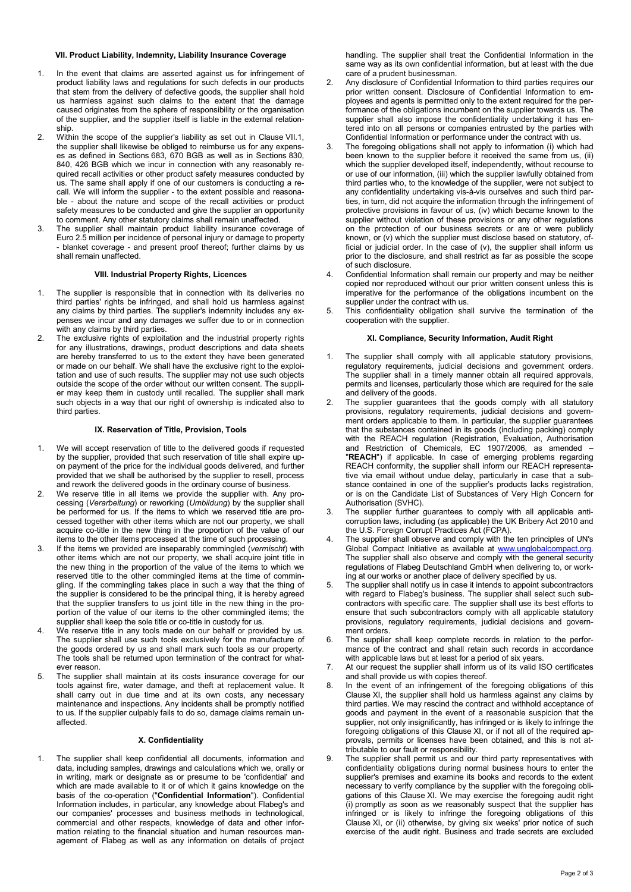## VII. Product Liability, Indemnity, Liability Insurance Coverage

- 1. In the event that claims are asserted against us for infringement of product liability laws and regulations for such defects in our products that stem from the delivery of defective goods, the supplier shall hold us harmless against such claims to the extent that the damage caused originates from the sphere of responsibility or the organisation of the supplier, and the supplier itself is liable in the external relationship.
- 2. Within the scope of the supplier's liability as set out in Clause VII.1, the supplier shall likewise be obliged to reimburse us for any expenses as defined in Sections 683, 670 BGB as well as in Sections 830, 840, 426 BGB which we incur in connection with any reasonably required recall activities or other product safety measures conducted by us. The same shall apply if one of our customers is conducting a recall. We will inform the supplier - to the extent possible and reasonable - about the nature and scope of the recall activities or product safety measures to be conducted and give the supplier an opportunity to comment. Any other statutory claims shall remain unaffected.
- 3. The supplier shall maintain product liability insurance coverage of Euro 2.5 million per incidence of personal injury or damage to property - blanket coverage - and present proof thereof; further claims by us shall remain unaffected.

## VIII. Industrial Property Rights, Licences

- 1. The supplier is responsible that in connection with its deliveries no third parties' rights be infringed, and shall hold us harmless against any claims by third parties. The supplier's indemnity includes any expenses we incur and any damages we suffer due to or in connection with any claims by third parties.
- The exclusive rights of exploitation and the industrial property rights for any illustrations, drawings, product descriptions and data sheets are hereby transferred to us to the extent they have been generated or made on our behalf. We shall have the exclusive right to the exploitation and use of such results. The supplier may not use such objects outside the scope of the order without our written consent. The supplier may keep them in custody until recalled. The supplier shall mark such objects in a way that our right of ownership is indicated also to third parties.

### IX. Reservation of Title, Provision, Tools

- 1. We will accept reservation of title to the delivered goods if requested by the supplier, provided that such reservation of title shall expire upon payment of the price for the individual goods delivered, and further provided that we shall be authorised by the supplier to resell, process and rework the delivered goods in the ordinary course of business.
- 2. We reserve title in all items we provide the supplier with. Any processing (Verarbeitung) or reworking (Umbildung) by the supplier shall be performed for us. If the items to which we reserved title are processed together with other items which are not our property, we shall acquire co-title in the new thing in the proportion of the value of our items to the other items processed at the time of such processing.
- 3. If the items we provided are inseparably commingled (vermischt) with other items which are not our property, we shall acquire joint title in the new thing in the proportion of the value of the items to which we reserved title to the other commingled items at the time of commingling. If the commingling takes place in such a way that the thing of the supplier is considered to be the principal thing, it is hereby agreed that the supplier transfers to us joint title in the new thing in the proportion of the value of our items to the other commingled items; the supplier shall keep the sole title or co-title in custody for us.
- 4. We reserve title in any tools made on our behalf or provided by us. The supplier shall use such tools exclusively for the manufacture of the goods ordered by us and shall mark such tools as our property. The tools shall be returned upon termination of the contract for whatever reason.
- 5. The supplier shall maintain at its costs insurance coverage for our tools against fire, water damage, and theft at replacement value. It shall carry out in due time and at its own costs, any necessary maintenance and inspections. Any incidents shall be promptly notified to us. If the supplier culpably fails to do so, damage claims remain unaffected.

## X. Confidentiality

1. The supplier shall keep confidential all documents, information and data, including samples, drawings and calculations which we, orally or in writing, mark or designate as or presume to be 'confidential' and which are made available to it or of which it gains knowledge on the basis of the co-operation ("Confidential Information"). Confidential Information includes, in particular, any knowledge about Flabeg's and our companies' processes and business methods in technological, commercial and other respects, knowledge of data and other information relating to the financial situation and human resources management of Flabeg as well as any information on details of project

handling. The supplier shall treat the Confidential Information in the same way as its own confidential information, but at least with the due care of a prudent businessman.

- Any disclosure of Confidential Information to third parties requires our prior written consent. Disclosure of Confidential Information to employees and agents is permitted only to the extent required for the performance of the obligations incumbent on the supplier towards us. The supplier shall also impose the confidentiality undertaking it has entered into on all persons or companies entrusted by the parties with Confidential Information or performance under the contract with us.
- The foregoing obligations shall not apply to information (i) which had been known to the supplier before it received the same from us, (ii) which the supplier developed itself, independently, without recourse to or use of our information, (iii) which the supplier lawfully obtained from third parties who, to the knowledge of the supplier, were not subject to any confidentiality undertaking vis-à-vis ourselves and such third parties, in turn, did not acquire the information through the infringement of protective provisions in favour of us, (iv) which became known to the supplier without violation of these provisions or any other regulations on the protection of our business secrets or are or were publicly known, or (v) which the supplier must disclose based on statutory, official or judicial order. In the case of  $(v)$ , the supplier shall inform us prior to the disclosure, and shall restrict as far as possible the scope of such disclosure.
- 4. Confidential Information shall remain our property and may be neither copied nor reproduced without our prior written consent unless this is imperative for the performance of the obligations incumbent on the supplier under the contract with us.
- 5. This confidentiality obligation shall survive the termination of the cooperation with the supplier.

#### XI. Compliance, Security Information, Audit Right

- 1. The supplier shall comply with all applicable statutory provisions, regulatory requirements, judicial decisions and government orders. The supplier shall in a timely manner obtain all required approvals, permits and licenses, particularly those which are required for the sale and delivery of the goods.
- The supplier guarantees that the goods comply with all statutory provisions, regulatory requirements, judicial decisions and government orders applicable to them. In particular, the supplier guarantees that the substances contained in its goods (including packing) comply with the REACH regulation (Registration, Evaluation, Authorisation and Restriction of Chemicals, EC 1907/2006, as amended – "REACH") if applicable. In case of emerging problems regarding REACH conformity, the supplier shall inform our REACH representative via email without undue delay, particularly in case that a substance contained in one of the supplier's products lacks registration, or is on the Candidate List of Substances of Very High Concern for Authorisation (SVHC).
- 3. The supplier further guarantees to comply with all applicable anticorruption laws, including (as applicable) the UK Bribery Act 2010 and the U.S. Foreign Corrupt Practices Act (FCPA).
- The supplier shall observe and comply with the ten principles of UN's Global Compact Initiative as available at www.unglobalcompact.org. The supplier shall also observe and comply with the general security regulations of Flabeg Deutschland GmbH when delivering to, or working at our works or another place of delivery specified by us.
- The supplier shall notify us in case it intends to appoint subcontractors with regard to Flabeg's business. The supplier shall select such subcontractors with specific care. The supplier shall use its best efforts to ensure that such subcontractors comply with all applicable statutory provisions, regulatory requirements, judicial decisions and government orders.
- 6. The supplier shall keep complete records in relation to the performance of the contract and shall retain such records in accordance with applicable laws but at least for a period of six years.
- 7. At our request the supplier shall inform us of its valid ISO certificates and shall provide us with copies thereof.
- 8. In the event of an infringement of the foregoing obligations of this Clause XI, the supplier shall hold us harmless against any claims by third parties. We may rescind the contract and withhold acceptance of goods and payment in the event of a reasonable suspicion that the supplier, not only insignificantly, has infringed or is likely to infringe the foregoing obligations of this Clause XI, or if not all of the required approvals, permits or licenses have been obtained, and this is not attributable to our fault or responsibility.
- 9. The supplier shall permit us and our third party representatives with confidentiality obligations during normal business hours to enter the supplier's premises and examine its books and records to the extent necessary to verify compliance by the supplier with the foregoing obligations of this Clause XI. We may exercise the foregoing audit right (i) promptly as soon as we reasonably suspect that the supplier has infringed or is likely to infringe the foregoing obligations of this Clause XI, or (ii) otherwise, by giving six weeks' prior notice of such exercise of the audit right. Business and trade secrets are excluded